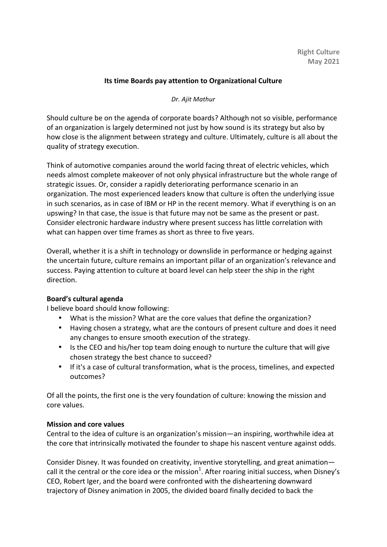# **Its time Boards pay attention to Organizational Culture**

### *Dr. Ajit Mathur*

Should culture be on the agenda of corporate boards? Although not so visible, performance of an organization is largely determined not just by how sound is its strategy but also by how close is the alignment between strategy and culture. Ultimately, culture is all about the quality of strategy execution.

Think of automotive companies around the world facing threat of electric vehicles, which needs almost complete makeover of not only physical infrastructure but the whole range of strategic issues. Or, consider a rapidly deteriorating performance scenario in an organization. The most experienced leaders know that culture is often the underlying issue in such scenarios, as in case of IBM or HP in the recent memory. What if everything is on an upswing? In that case, the issue is that future may not be same as the present or past. Consider electronic hardware industry where present success has little correlation with what can happen over time frames as short as three to five years.

Overall, whether it is a shift in technology or downslide in performance or hedging against the uncertain future, culture remains an important pillar of an organization's relevance and success. Paying attention to culture at board level can help steer the ship in the right direction.

### **Board's cultural agenda**

I believe board should know following:

- What is the mission? What are the core values that define the organization?
- Having chosen a strategy, what are the contours of present culture and does it need any changes to ensure smooth execution of the strategy.
- Is the CEO and his/her top team doing enough to nurture the culture that will give chosen strategy the best chance to succeed?
- If it's a case of cultural transformation, what is the process, timelines, and expected outcomes?

Of all the points, the first one is the very foundation of culture: knowing the mission and core values.

# **Mission and core values**

Central to the idea of culture is an organization's mission—an inspiring, worthwhile idea at the core that intrinsically motivated the founder to shape his nascent venture against odds.

Consider Disney. It was founded on creativity, inventive storytelling, and great animation call it the central or the core idea or the mission<sup>1</sup>. After roaring initial success, when Disney's CEO, Robert Iger, and the board were confronted with the disheartening downward trajectory of Disney animation in 2005, the divided board finally decided to back the